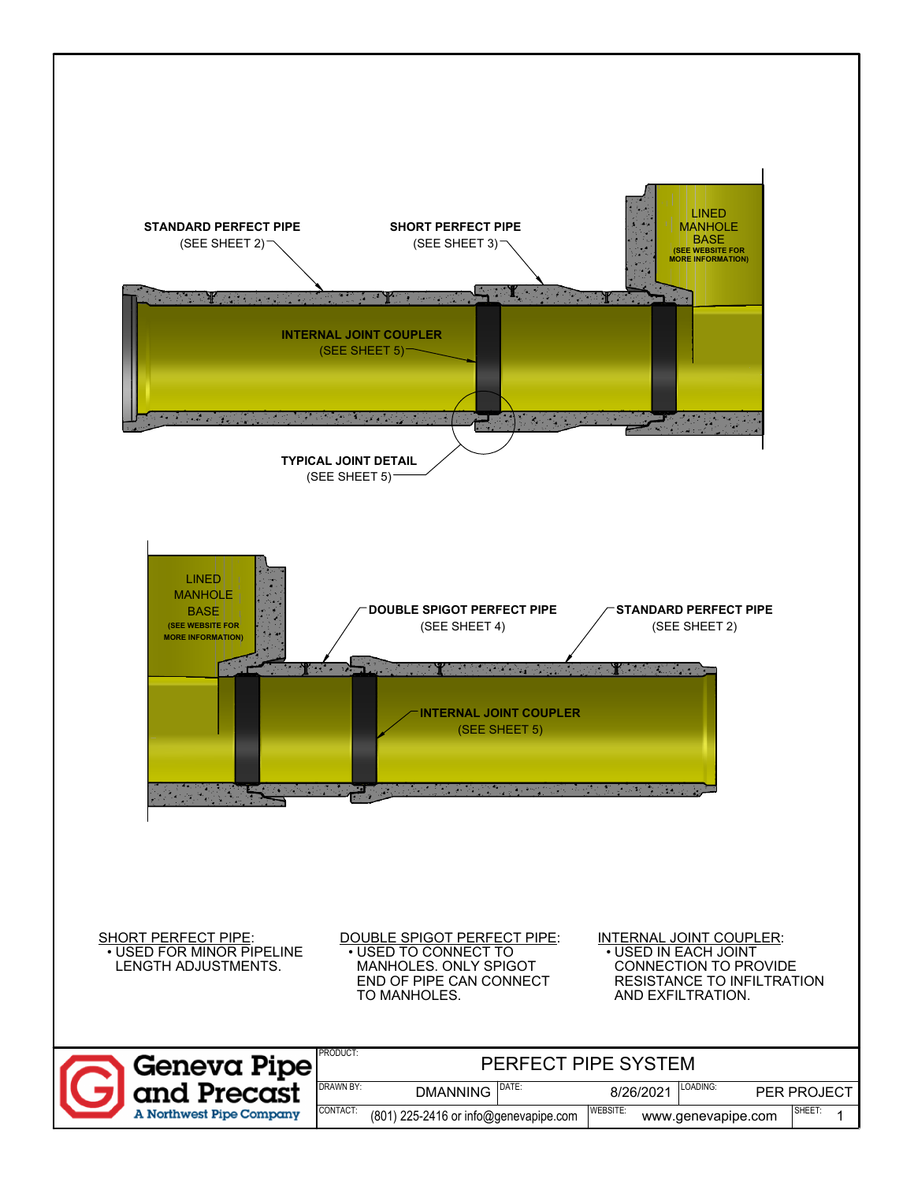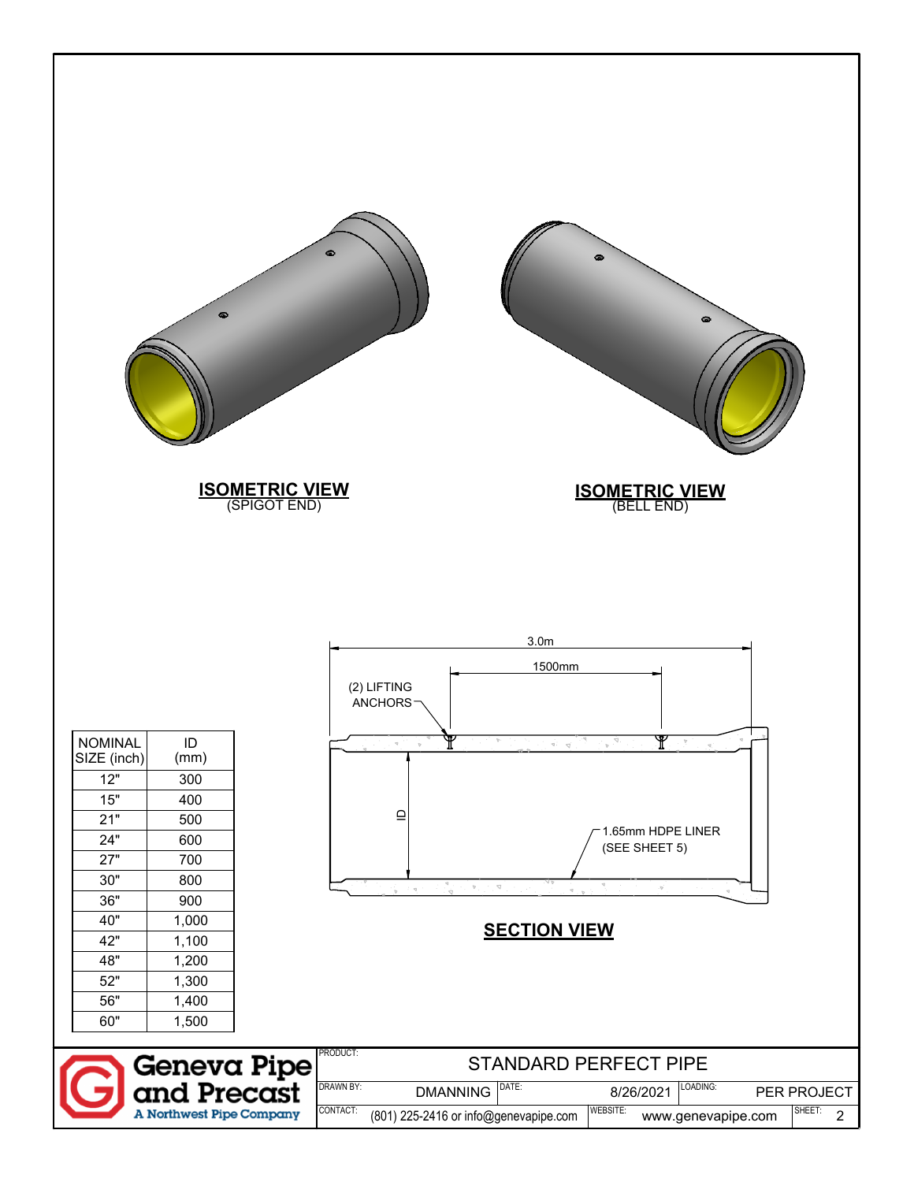|                                                                                                                          | $\bullet$                                                                                                         | െ<br>$\bullet$<br><b>ISOMETRIC VIEW</b><br>(SPIGOT END)<br><b>ISOMETRIC VIEW</b><br>(BELL END)                                                                                                                                                                                                                                                                                                                                                                                                                                          |                                         |
|--------------------------------------------------------------------------------------------------------------------------|-------------------------------------------------------------------------------------------------------------------|-----------------------------------------------------------------------------------------------------------------------------------------------------------------------------------------------------------------------------------------------------------------------------------------------------------------------------------------------------------------------------------------------------------------------------------------------------------------------------------------------------------------------------------------|-----------------------------------------|
| <b>NOMINAL</b><br>SIZE (inch)<br>12"<br>15"<br>21"<br>24"<br>27"<br>30"<br>36"<br>40"<br>42"<br>48"<br>52"<br>56"<br>60" | ID<br>(mm)<br>300<br>400<br>500<br>600<br>700<br>800<br>900<br>1,000<br>1,100<br>1,200<br>1,300<br>1,400<br>1,500 | 3.0 <sub>m</sub><br>1500mm<br>(2) LIFTING<br><b>ANCHORS</b><br>$\mathbb {Y}$<br>P<br>$\frac{1}{2}$ $\frac{1}{2}$ $\frac{1}{2}$ $\frac{1}{2}$<br>$\vec{q}:=\vec{q}^{\prime}$ .<br>Y<br>$\supseteq$<br>1.65mm HDPE LINER<br>(SEE SHEET 5)<br>$\mathbb{P}_{\mathcal{A}} \xrightarrow{\mathcal{A}} \mathbb{P}_{\mathcal{A}} \xrightarrow{\mathcal{A}} \mathbb{P}_{\mathcal{A}} \xrightarrow{\mathcal{A}} \mathbb{P}_{\mathcal{A}}$<br>$\cdot \nabla$<br>ूं रच्<br>$\mathcal{L}$<br><b>SECTION VIEW</b><br>PRODUCT:<br>STANDARD PERFECT PIPE |                                         |
|                                                                                                                          | A Northwest Pipe Company                                                                                          | <b>Geneva Pipe<br/>and Precast</b><br>DRAWN BY:<br>DATE:<br>LOADING:<br><b>DMANNING</b><br>8/26/2021<br>CONTACT:<br>WEBSITE:<br>(801) 225-2416 or info@genevapipe.com<br>www.genevapipe.com                                                                                                                                                                                                                                                                                                                                             | PER PROJECT<br>SHEET:<br>$\overline{2}$ |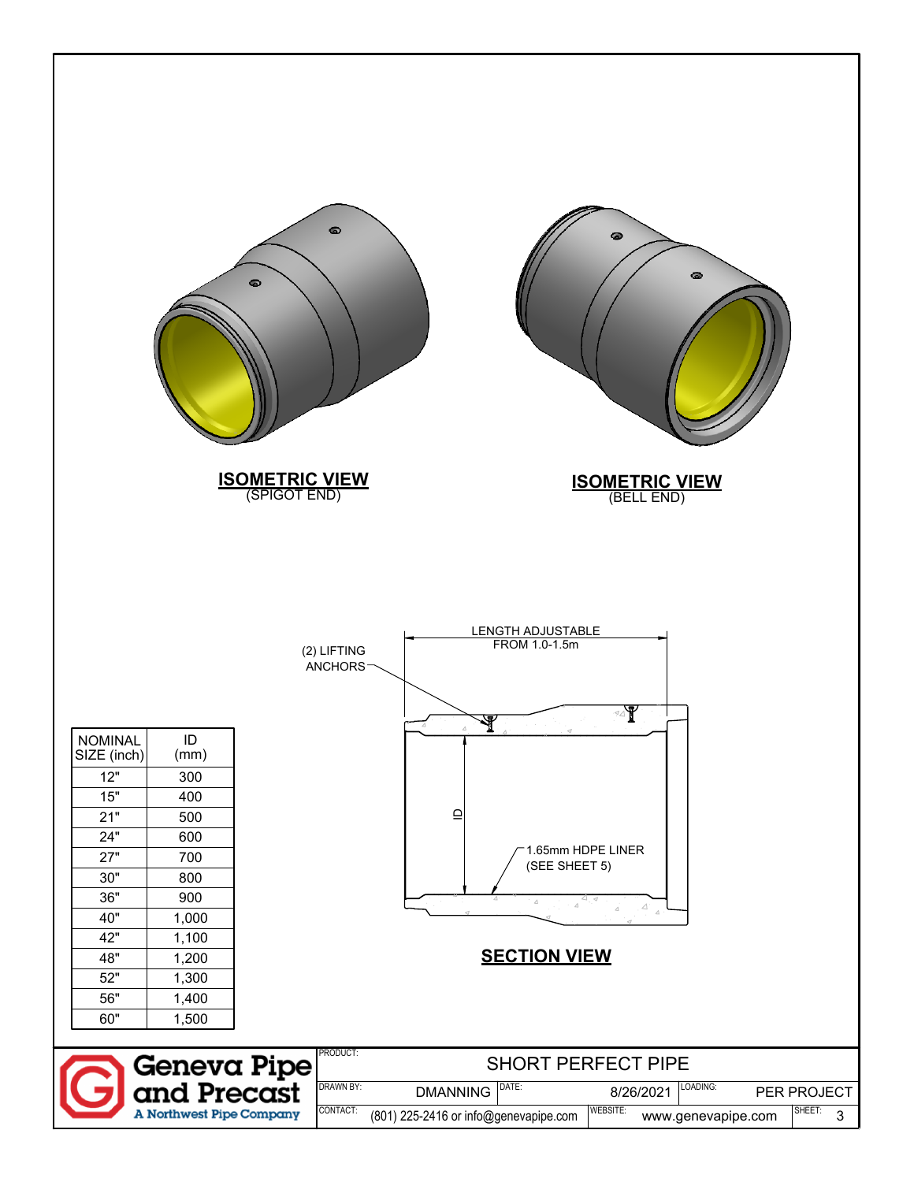| $\bullet$<br><b>ISOMETRIC VIEW</b><br>(SPIGOT END)                                                                                                                                                                                            | ๑<br>٠<br>◎<br><b>ISOMETRIC VIEW</b><br>(BELL END)                                                                                                                                                                                            |
|-----------------------------------------------------------------------------------------------------------------------------------------------------------------------------------------------------------------------------------------------|-----------------------------------------------------------------------------------------------------------------------------------------------------------------------------------------------------------------------------------------------|
| ID<br><b>NOMINAL</b><br>SIZE (inch)<br>(mm)<br>12"<br>300<br>15"<br>400<br>21"<br>500<br>24"<br>600<br>27"<br>700<br>30"<br>800<br>36"<br>900<br>40"<br>1,000<br>42"<br>1,100<br>48"<br>1,200<br>52"<br>1,300<br>56"<br>1,400<br>60"<br>1,500 | LENGTH ADJUSTABLE<br>FROM 1.0-1.5m<br>(2) LIFTING<br>ANCHORS <sup>-</sup><br>⊴∆¶<br>$\mathop{\underline{\cup}}$<br>1.65mm HDPE LINER<br>(SEE SHEET 5)<br>$\varDelta$<br>$\triangle^{\cdot}$<br>$\varDelta$<br><b>SECTION VIEW</b><br>PRODUCT: |
| <b>Geneva Pipe<br/>and Precast</b><br>A Northwest Pipe Company                                                                                                                                                                                | <b>SHORT PERFECT PIPE</b><br>DRAWN BY:<br>DATE:<br>LOADING:<br><b>DMANNING</b><br>8/26/2021<br>PER PROJECT<br>CONTACT:<br>WEBSITE:<br>SHEET:<br>(801) 225-2416 or info@genevapipe.com<br>$\mathbf{3}$<br>www.genevapipe.com                   |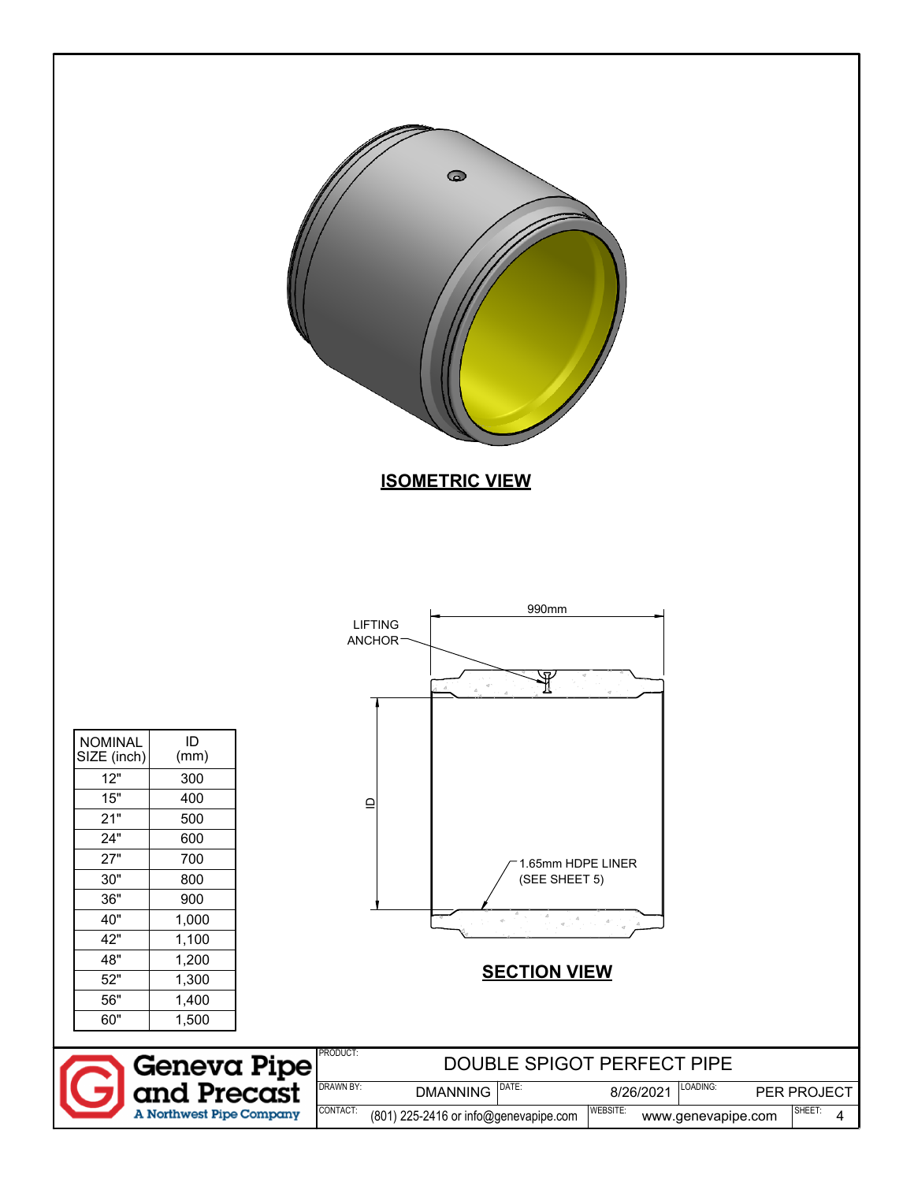|                               |                                   | $\bullet$<br><b>ISOMETRIC VIEW</b>                                                                                                  |
|-------------------------------|-----------------------------------|-------------------------------------------------------------------------------------------------------------------------------------|
|                               |                                   |                                                                                                                                     |
|                               |                                   |                                                                                                                                     |
|                               |                                   |                                                                                                                                     |
|                               |                                   | 990mm<br><b>LIFTING</b>                                                                                                             |
|                               |                                   | <b>ANCHOR</b>                                                                                                                       |
|                               |                                   | 57.                                                                                                                                 |
|                               |                                   |                                                                                                                                     |
| <b>NOMINAL</b><br>SIZE (inch) | $\sf ID$<br>(mm)                  |                                                                                                                                     |
| 12"                           | 300                               |                                                                                                                                     |
| 15"                           | 400                               | $\mathbf{\underline{o}}$                                                                                                            |
| 21"                           | 500                               |                                                                                                                                     |
| 24"<br>27"                    | 600<br>700                        |                                                                                                                                     |
| 30"                           | 800                               | 1.65mm HDPE LINER<br>(SEE SHEET 5)                                                                                                  |
| 36"                           | 900                               |                                                                                                                                     |
| 40"                           | 1,000                             | $\label{eq:q} q\left[\begin{smallmatrix} &A& & & \\ & \ddots & & A^2& \\ & & \ddots & & A^2& \\ & & & & q \end{smallmatrix}\right]$ |
| 42"                           | 1,100                             |                                                                                                                                     |
| 48"                           | 1,200                             | <b>SECTION VIEW</b>                                                                                                                 |
| 52"                           | 1,300                             |                                                                                                                                     |
| 56"                           | 1,400                             |                                                                                                                                     |
| 60"                           | 1,500                             |                                                                                                                                     |
|                               |                                   | PRODUCT:<br>DOUBLE SPIGOT PERFECT PIPE                                                                                              |
| $\sqrt{2}$                    | <b>Geneva Pipe</b><br>and Precast | <b>DRAWN BY:</b><br>DATE:<br>LOADING:<br><b>DMANNING</b>                                                                            |
|                               |                                   | 8/26/2021<br>PER PROJECT<br>WEBSITE:<br>CONTACT:<br>SHEET:                                                                          |
|                               | A Northwest Pipe Company          | (801) 225-2416 or info@genevapipe.com<br>www.genevapipe.com<br>4                                                                    |